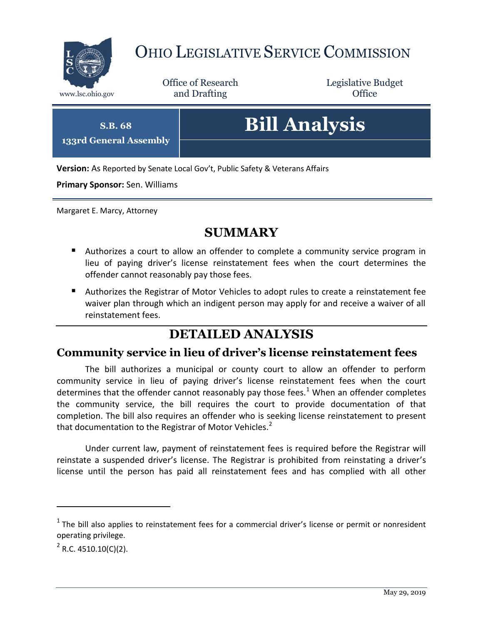

# OHIO LEGISLATIVE SERVICE COMMISSION

Office of Research www.lsc.ohio.gov and Drafting Control of Control of the Control of Control of the Control of Control of the Control of the Control of the Control of the Control of the Control of the Control of the Control of the Control o

Legislative Budget

**S.B. 68 133rd General Assembly Bill Analysis**

**Version:** As Reported by Senate Local Gov't, Public Safety & Veterans Affairs

**Primary Sponsor:** Sen. Williams

Margaret E. Marcy, Attorney

### **SUMMARY**

- Authorizes a court to allow an offender to complete a community service program in lieu of paying driver's license reinstatement fees when the court determines the offender cannot reasonably pay those fees.
- Authorizes the Registrar of Motor Vehicles to adopt rules to create a reinstatement fee waiver plan through which an indigent person may apply for and receive a waiver of all reinstatement fees.

# **DETAILED ANALYSIS**

#### **Community service in lieu of driver's license reinstatement fees**

The bill authorizes a municipal or county court to allow an offender to perform community service in lieu of paying driver's license reinstatement fees when the court determines that the offender cannot reasonably pay those fees.<sup>1</sup> When an offender completes the community service, the bill requires the court to provide documentation of that completion. The bill also requires an offender who is seeking license reinstatement to present that documentation to the Registrar of Motor Vehicles. $2^2$ 

Under current law, payment of reinstatement fees is required before the Registrar will reinstate a suspended driver's license. The Registrar is prohibited from reinstating a driver's license until the person has paid all reinstatement fees and has complied with all other

 $\overline{a}$ 

 $<sup>1</sup>$  The bill also applies to reinstatement fees for a commercial driver's license or permit or nonresident</sup> operating privilege.

 $2^2$  R.C. 4510.10(C)(2).